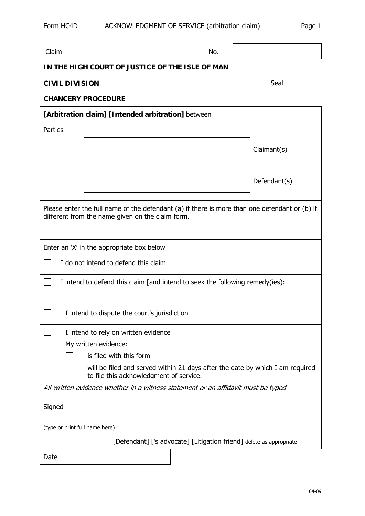| Claim                                                                                                                                             |                                                                                                                          | No. |  |              |  |
|---------------------------------------------------------------------------------------------------------------------------------------------------|--------------------------------------------------------------------------------------------------------------------------|-----|--|--------------|--|
| IN THE HIGH COURT OF JUSTICE OF THE ISLE OF MAN                                                                                                   |                                                                                                                          |     |  |              |  |
| <b>CIVIL DIVISION</b>                                                                                                                             |                                                                                                                          |     |  | Seal         |  |
| <b>CHANCERY PROCEDURE</b>                                                                                                                         |                                                                                                                          |     |  |              |  |
| [Arbitration claim] [Intended arbitration] between                                                                                                |                                                                                                                          |     |  |              |  |
| Parties                                                                                                                                           |                                                                                                                          |     |  |              |  |
|                                                                                                                                                   |                                                                                                                          |     |  | Claimant(s)  |  |
|                                                                                                                                                   |                                                                                                                          |     |  |              |  |
|                                                                                                                                                   |                                                                                                                          |     |  | Defendant(s) |  |
|                                                                                                                                                   |                                                                                                                          |     |  |              |  |
| Please enter the full name of the defendant (a) if there is more than one defendant or (b) if<br>different from the name given on the claim form. |                                                                                                                          |     |  |              |  |
| Enter an 'X' in the appropriate box below                                                                                                         |                                                                                                                          |     |  |              |  |
| I do not intend to defend this claim                                                                                                              |                                                                                                                          |     |  |              |  |
| I intend to defend this claim [and intend to seek the following remedy(ies):                                                                      |                                                                                                                          |     |  |              |  |
| I intend to dispute the court's jurisdiction                                                                                                      |                                                                                                                          |     |  |              |  |
| I intend to rely on written evidence                                                                                                              |                                                                                                                          |     |  |              |  |
| My written evidence:                                                                                                                              |                                                                                                                          |     |  |              |  |
|                                                                                                                                                   | is filed with this form                                                                                                  |     |  |              |  |
|                                                                                                                                                   | will be filed and served within 21 days after the date by which I am required<br>to file this acknowledgment of service. |     |  |              |  |
| All written evidence whether in a witness statement or an affidavit must be typed                                                                 |                                                                                                                          |     |  |              |  |
| Signed                                                                                                                                            |                                                                                                                          |     |  |              |  |
| (type or print full name here)                                                                                                                    |                                                                                                                          |     |  |              |  |
| [Defendant] ['s advocate] [Litigation friend] delete as appropriate                                                                               |                                                                                                                          |     |  |              |  |
| Date                                                                                                                                              |                                                                                                                          |     |  |              |  |